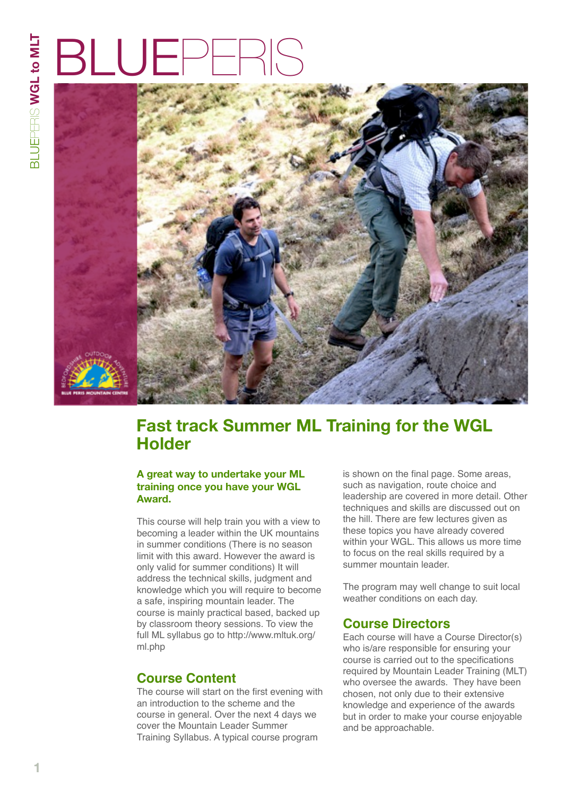# BLUE



# **Fast track Summer ML Training for the WGL Holder**

#### **A great way to undertake your ML training once you have your WGL Award.**

This course will help train you with a view to becoming a leader within the UK mountains in summer conditions (There is no season limit with this award. However the award is only valid for summer conditions) It will address the technical skills, judgment and knowledge which you will require to become a safe, inspiring mountain leader. The course is mainly practical based, backed up by classroom theory sessions. To view the full ML syllabus go to [http://www.mltuk.org/](http://www.mltuk.org/ml.php) [ml.php](http://www.mltuk.org/ml.php)

## **Course Content**

The course will start on the first evening with an introduction to the scheme and the course in general. Over the next 4 days we cover the Mountain Leader Summer Training Syllabus. A typical course program

is shown on the final page. Some areas, such as navigation, route choice and leadership are covered in more detail. Other techniques and skills are discussed out on the hill. There are few lectures given as these topics you have already covered within your WGL. This allows us more time to focus on the real skills required by a summer mountain leader.

The program may well change to suit local weather conditions on each day.

### **Course Directors**

Each course will have a Course Director(s) who is/are responsible for ensuring your course is carried out to the specifications required by Mountain Leader Training (MLT) who oversee the awards. They have been chosen, not only due to their extensive knowledge and experience of the awards but in order to make your course enjoyable and be approachable.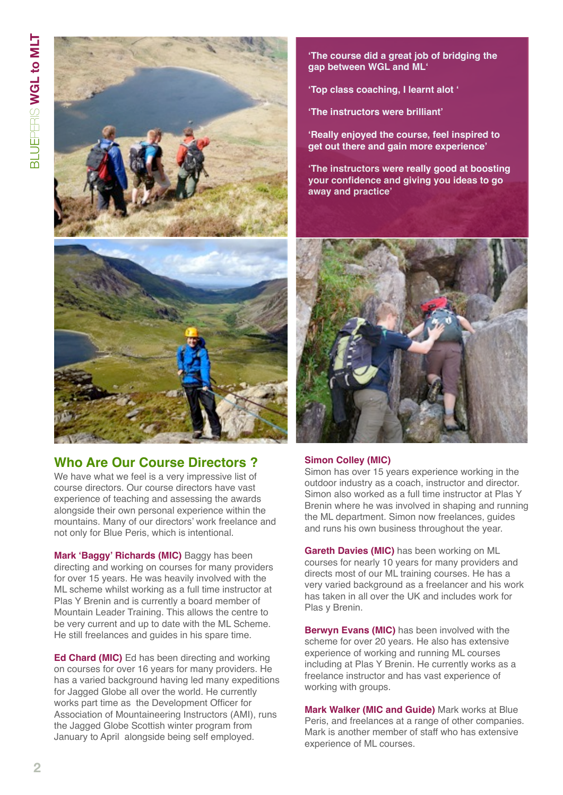

## **Who Are Our Course Directors ?**

We have what we feel is a very impressive list of course directors. Our course directors have vast experience of teaching and assessing the awards alongside their own personal experience within the mountains. Many of our directors' work freelance and not only for Blue Peris, which is intentional.

**Mark 'Baggy' Richards (MIC)** Baggy has been directing and working on courses for many providers for over 15 years. He was heavily involved with the ML scheme whilst working as a full time instructor at Plas Y Brenin and is currently a board member of Mountain Leader Training. This allows the centre to be very current and up to date with the ML Scheme. He still freelances and guides in his spare time.

**Ed Chard (MIC)** Ed has been directing and working on courses for over 16 years for many providers. He has a varied background having led many expeditions for Jagged Globe all over the world. He currently works part time as the Development Officer for Association of Mountaineering Instructors (AMI), runs the Jagged Globe Scottish winter program from January to April alongside being self employed.

**'The course did a great job of bridging the gap between WGL and ML'**

**'Top class coaching, I learnt alot '**

**'The instructors were brilliant'**

**'Really enjoyed the course, feel inspired to get out there and gain more experience'**

**'The instructors were really good at boosting your confidence and giving you ideas to go away and practice'**



#### **Simon Colley (MIC)**

Simon has over 15 years experience working in the outdoor industry as a coach, instructor and director. Simon also worked as a full time instructor at Plas Y Brenin where he was involved in shaping and running the ML department. Simon now freelances, guides and runs his own business throughout the year.

**Gareth Davies (MIC)** has been working on ML courses for nearly 10 years for many providers and directs most of our ML training courses. He has a very varied background as a freelancer and his work has taken in all over the UK and includes work for Plas y Brenin.

**Berwyn Evans (MIC)** has been involved with the scheme for over 20 years. He also has extensive experience of working and running ML courses including at Plas Y Brenin. He currently works as a freelance instructor and has vast experience of working with groups.

**Mark Walker (MIC and Guide)** Mark works at Blue Peris, and freelances at a range of other companies. Mark is another member of staff who has extensive experience of ML courses.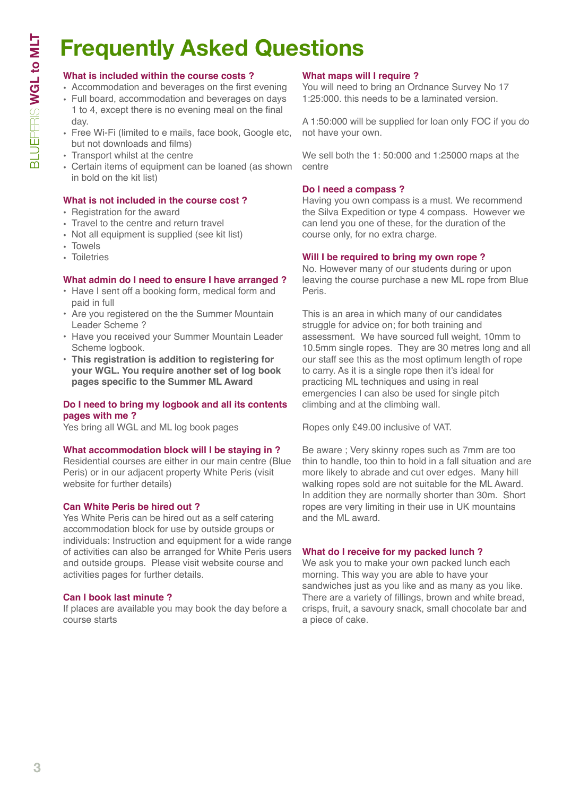# **Frequently Asked Questions**

#### **What is included within the course costs ?**

- Accommodation and beverages on the first evening
- Full board, accommodation and beverages on days 1 to 4, except there is no evening meal on the final day.
- Free Wi-Fi (limited to e mails, face book, Google etc, but not downloads and films)
- Transport whilst at the centre
- Certain items of equipment can be loaned (as shown in bold on the kit list)

#### **What is not included in the course cost ?**

- Registration for the award
- Travel to the centre and return travel
- Not all equipment is supplied (see kit list)
- Towels
- Toiletries

#### **What admin do I need to ensure I have arranged ?**

- Have I sent off a booking form, medical form and paid in full
- Are you registered on the the Summer Mountain Leader Scheme ?
- Have you received your Summer Mountain Leader Scheme logbook.
- **• This registration is addition to registering for your WGL. You require another set of log book pages specific to the Summer ML Award**

#### **Do I need to bring my logbook and all its contents pages with me ?**

Yes bring all WGL and ML log book pages

#### **What accommodation block will I be staying in ?**

Residential courses are either in our main centre (Blue Peris) or in our adjacent property White Peris (visit website for further details)

#### **Can White Peris be hired out ?**

Yes White Peris can be hired out as a self catering accommodation block for use by outside groups or individuals: Instruction and equipment for a wide range of activities can also be arranged for White Peris users and outside groups. Please visit website course and activities pages for further details.

#### **Can I book last minute ?**

If places are available you may book the day before a course starts

#### **What maps will I require ?**

You will need to bring an Ordnance Survey No 17 1:25:000. this needs to be a laminated version.

A 1:50:000 will be supplied for loan only FOC if you do not have your own.

We sell both the 1: 50:000 and 1:25000 maps at the centre

#### **Do I need a compass ?**

Having you own compass is a must. We recommend the Silva Expedition or type 4 compass. However we can lend you one of these, for the duration of the course only, for no extra charge.

#### **Will I be required to bring my own rope ?**

No. However many of our students during or upon leaving the course purchase a new ML rope from Blue Peris.

This is an area in which many of our candidates struggle for advice on; for both training and assessment. We have sourced full weight, 10mm to 10.5mm single ropes. They are 30 metres long and all our staff see this as the most optimum length of rope to carry. As it is a single rope then it's ideal for practicing ML techniques and using in real emergencies I can also be used for single pitch climbing and at the climbing wall.

Ropes only £49.00 inclusive of VAT.

Be aware ; Very skinny ropes such as 7mm are too thin to handle, too thin to hold in a fall situation and are more likely to abrade and cut over edges. Many hill walking ropes sold are not suitable for the ML Award. In addition they are normally shorter than 30m. Short ropes are very limiting in their use in UK mountains and the ML award.

#### **What do I receive for my packed lunch ?**

We ask you to make your own packed lunch each morning. This way you are able to have your sandwiches just as you like and as many as you like. There are a variety of fillings, brown and white bread, crisps, fruit, a savoury snack, small chocolate bar and a piece of cake.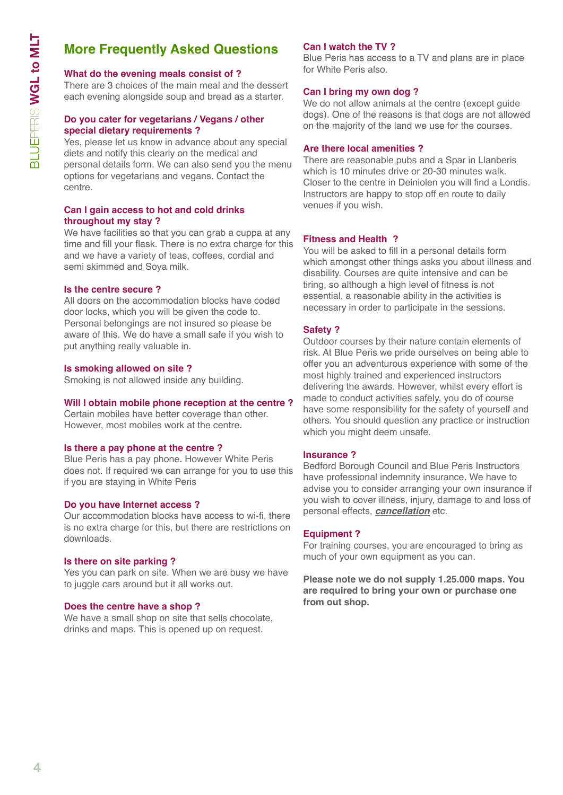# **More Frequently Asked Questions**

#### **What do the evening meals consist of ?**

There are 3 choices of the main meal and the dessert each evening alongside soup and bread as a starter.

#### **Do you cater for vegetarians / Vegans / other special dietary requirements ?**

Yes, please let us know in advance about any special diets and notify this clearly on the medical and personal details form. We can also send you the menu options for vegetarians and vegans. Contact the centre.

#### **Can I gain access to hot and cold drinks throughout my stay ?**

We have facilities so that you can grab a cuppa at any time and fill your flask. There is no extra charge for this and we have a variety of teas, coffees, cordial and semi skimmed and Soya milk.

#### **Is the centre secure ?**

All doors on the accommodation blocks have coded door locks, which you will be given the code to. Personal belongings are not insured so please be aware of this. We do have a small safe if you wish to put anything really valuable in.

#### **Is smoking allowed on site ?**

Smoking is not allowed inside any building.

#### **Will I obtain mobile phone reception at the centre ?**

Certain mobiles have better coverage than other. However, most mobiles work at the centre.

#### **Is there a pay phone at the centre ?**

Blue Peris has a pay phone. However White Peris does not. If required we can arrange for you to use this if you are staying in White Peris

#### **Do you have Internet access ?**

Our accommodation blocks have access to wi-fi, there is no extra charge for this, but there are restrictions on downloads.

#### **Is there on site parking ?**

Yes you can park on site. When we are busy we have to juggle cars around but it all works out.

#### **Does the centre have a shop ?**

We have a small shop on site that sells chocolate, drinks and maps. This is opened up on request.

#### **Can I watch the TV ?**

Blue Peris has access to a TV and plans are in place for White Peris also.

#### **Can I bring my own dog ?**

We do not allow animals at the centre (except guide dogs). One of the reasons is that dogs are not allowed on the majority of the land we use for the courses.

#### **Are there local amenities ?**

There are reasonable pubs and a Spar in Llanberis which is 10 minutes drive or 20-30 minutes walk. Closer to the centre in Deiniolen you will find a Londis. Instructors are happy to stop off en route to daily venues if you wish.

#### **Fitness and Health ?**

You will be asked to fill in a personal details form which amongst other things asks you about illness and disability. Courses are quite intensive and can be tiring, so although a high level of fitness is not essential, a reasonable ability in the activities is necessary in order to participate in the sessions.

#### **Safety ?**

Outdoor courses by their nature contain elements of risk. At Blue Peris we pride ourselves on being able to offer you an adventurous experience with some of the most highly trained and experienced instructors delivering the awards. However, whilst every effort is made to conduct activities safely, you do of course have some responsibility for the safety of yourself and others. You should question any practice or instruction which you might deem unsafe.

#### **Insurance ?**

Bedford Borough Council and Blue Peris Instructors have professional indemnity insurance. We have to advise you to consider arranging your own insurance if you wish to cover illness, injury, damage to and loss of personal effects, *cancellation* etc.

#### **Equipment ?**

For training courses, you are encouraged to bring as much of your own equipment as you can.

**Please note we do not supply 1.25.000 maps. You are required to bring your own or purchase one from out shop.**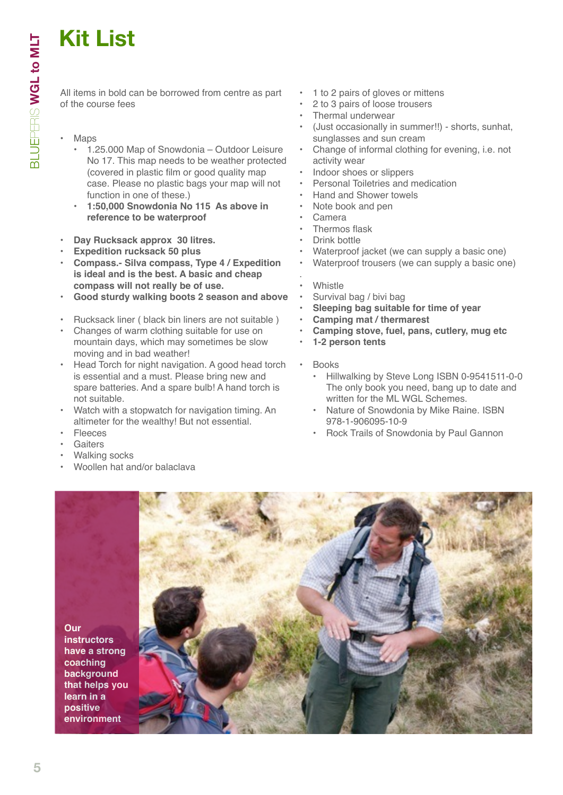# **Kit List**

All items in bold can be borrowed from centre as part of the course fees

- Maps
	- 1.25.000 Map of Snowdonia Outdoor Leisure No 17. This map needs to be weather protected (covered in plastic film or good quality map case. Please no plastic bags your map will not function in one of these.)
	- **• 1:50,000 Snowdonia No 115 As above in reference to be waterproof**
- **• Day Rucksack approx 30 litres.**
- **• Expedition rucksack 50 plus**
- **• Compass.- Silva compass, Type 4 / Expedition is ideal and is the best. A basic and cheap compass will not really be of use.**
- **• Good sturdy walking boots 2 season and above**
- Rucksack liner ( black bin liners are not suitable )
- Changes of warm clothing suitable for use on mountain days, which may sometimes be slow moving and in bad weather!
- Head Torch for night navigation. A good head torch is essential and a must. Please bring new and spare batteries. And a spare bulb! A hand torch is not suitable.
- Watch with a stopwatch for navigation timing. An altimeter for the wealthy! But not essential.
- **Fleeces**
- **Gaiters**
- Walking socks
- Woollen hat and/or balaclava
- 1 to 2 pairs of gloves or mittens
- 2 to 3 pairs of loose trousers
- Thermal underwear
- (Just occasionally in summer!!) shorts, sunhat, sunglasses and sun cream
- Change of informal clothing for evening, i.e. not activity wear
- Indoor shoes or slippers
- Personal Toiletries and medication
- Hand and Shower towels
- Note book and pen
- Camera
- Thermos flask
- Drink bottle
- Waterproof jacket (we can supply a basic one)
- Waterproof trousers (we can supply a basic one)
- . **Whistle**
- Survival bag / bivi bag
- **• Sleeping bag suitable for time of year**
- **• Camping mat / thermarest**
- **• Camping stove, fuel, pans, cutlery, mug etc**
- **• 1-2 person tents**
- Books
	- Hillwalking by Steve Long ISBN 0-9541511-0-0 The only book you need, bang up to date and written for the ML WGL Schemes.
	- Nature of Snowdonia by Mike Raine. ISBN 978-1-906095-10-9
	- Rock Trails of Snowdonia by Paul Gannon

**Our instructors have a strong coaching background that helps you learn in a positive environment**